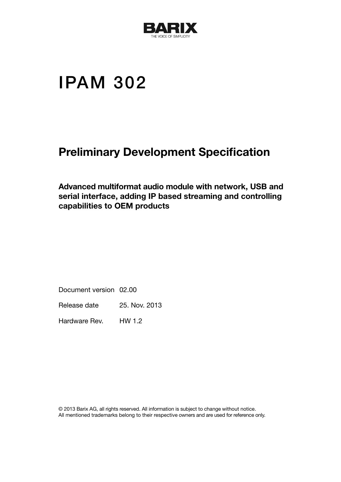

# IPAM 302

## Preliminary Development Specification

Advanced multiformat audio module with network, USB and serial interface, adding IP based streaming and controlling capabilities to OEM products

Document version 02.00

Release date 25. Nov. 2013

Hardware Rev. HW 1.2

© 2013 Barix AG, all rights reserved. All information is subject to change without notice. All mentioned trademarks belong to their respective owners and are used for reference only.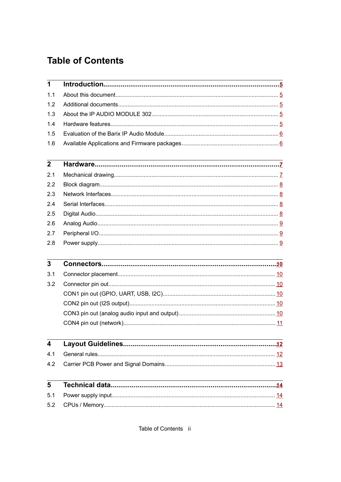## **Table of Contents**

| 1                       |  |
|-------------------------|--|
| 1.1                     |  |
| 1.2                     |  |
| 1.3                     |  |
| 1.4                     |  |
| 1.5                     |  |
| 1.6                     |  |
| $\mathbf{2}$            |  |
| 2.1                     |  |
| 2.2                     |  |
| 2.3                     |  |
| 2.4                     |  |
| 2.5                     |  |
| 2.6                     |  |
| 2.7                     |  |
| 2.8                     |  |
| 3                       |  |
| 3.1                     |  |
| 3.2                     |  |
|                         |  |
|                         |  |
|                         |  |
|                         |  |
| $\overline{\mathbf{4}}$ |  |
| 4.1                     |  |
| 4.2                     |  |
| 5                       |  |
| 5.1                     |  |
| 5.2                     |  |

Table of Contents ii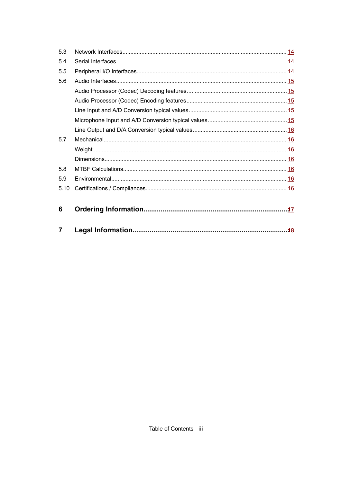| 6    |  |
|------|--|
| 5.10 |  |
| 5.9  |  |
| 5.8  |  |
|      |  |
|      |  |
| 5.7  |  |
|      |  |
|      |  |
|      |  |
|      |  |
|      |  |
| 5.6  |  |
| 5.5  |  |
| 5.4  |  |
| 5.3  |  |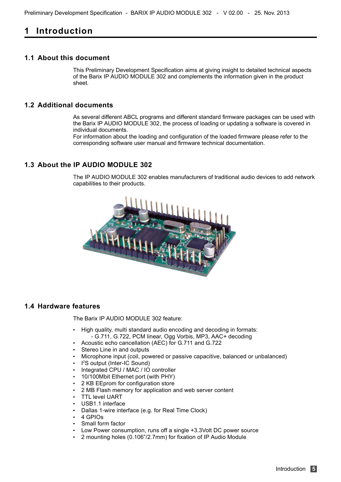## <span id="page-3-4"></span>**1 Introduction**

#### <span id="page-3-3"></span>**1.1 About this document**

This Preliminary Development Specification aims at giving insight to detailed technical aspects of the Barix IP AUDIO MODULE 302 and complements the information given in the product sheet.

#### <span id="page-3-2"></span>**1.2 Additional documents**

As several different ABCL programs and different standard firmware packages can be used with the Barix IP AUDIO MODULE 302, the process of loading or updating a software is covered in individual documents.

For information about the loading and configuration of the loaded firmware please refer to the corresponding software user manual and firmware technical documentation.

#### <span id="page-3-1"></span>**1.3 About the IP AUDIO MODULE 302**

The IP AUDIO MODULE 302 enables manufacturers of traditional audio devices to add network capabilities to their products.



#### <span id="page-3-0"></span>**1.4 Hardware features**

The Barix IP AUDIO MODULE 302 feature:

- High quality, multi standard audio encoding and decoding in formats:
	- G.711, G.722, PCM linear, Ogg Vorbis, MP3, AAC+ decoding
- Acoustic echo cancellation (AEC) for G.711 and G.722
- Stereo Line in and outputs
- Microphone input (coil, powered or passive capacitive, balanced or unbalanced)
- I<sup>2</sup>S output (Inter-IC Sound)
- Integrated CPU / MAC / IO controller
- 10/100Mbit Ethernet port (with PHY)
- 2 KB EEprom for configuration store
- 2 MB Flash memory for application and web server content
- **TTL level UART**
- USB1.1 interface
- Dallas 1-wire interface (e.g. for Real Time Clock)
- 4 GPIOs
- Small form factor
- Low Power consumption, runs off a single +3.3Volt DC power source
- 2 mounting holes (0.106"/2.7mm) for fixation of IP Audio Module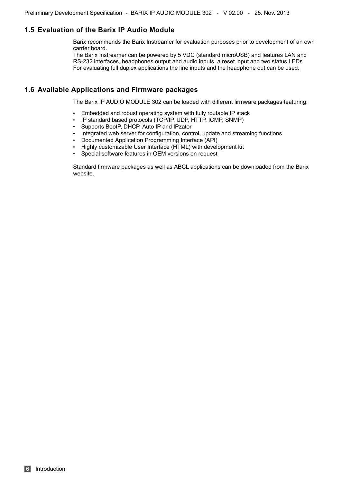#### <span id="page-4-1"></span>**1.5 Evaluation of the Barix IP Audio Module**

Barix recommends the Barix Instreamer for evaluation purposes prior to development of an own carrier board.

The Barix Instreamer can be powered by 5 VDC (standard microUSB) and features LAN and RS-232 interfaces, headphones output and audio inputs, a reset input and two status LEDs. For evaluating full duplex applications the line inputs and the headphone out can be used.

#### <span id="page-4-0"></span>**1.6 Available Applications and Firmware packages**

The Barix IP AUDIO MODULE 302 can be loaded with different firmware packages featuring:

- Embedded and robust operating system with fully routable IP stack
- IP standard based protocols (TCP/IP, UDP, HTTP, ICMP, SNMP)
- Supports BootP, DHCP, Auto IP and IPzator
- Integrated web server for configuration, control, update and streaming functions
- Documented Application Programming Interface (API)
- Highly customizable User Interface (HTML) with development kit
- Special software features in OEM versions on request

Standard firmware packages as well as ABCL applications can be downloaded from the Barix website.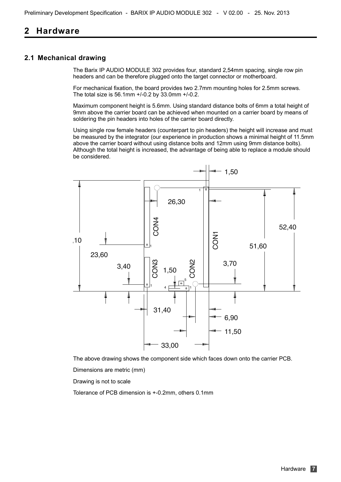## <span id="page-5-1"></span>**2 Hardware**

#### <span id="page-5-0"></span>**2.1 Mechanical drawing**

The Barix IP AUDIO MODULE 302 provides four, standard 2,54mm spacing, single row pin headers and can be therefore plugged onto the target connector or motherboard.

For mechanical fixation, the board provides two 2.7mm mounting holes for 2.5mm screws. The total size is 56.1mm +/-0.2 by 33.0mm +/-0.2.

Maximum component height is 5.6mm. Using standard distance bolts of 6mm a total height of 9mm above the carrier board can be achieved when mounted on a carrier board by means of soldering the pin headers into holes of the carrier board directly.

Using single row female headers (counterpart to pin headers) the height will increase and must be measured by the integrator (our experience in production shows a minimal height of 11.5mm above the carrier board without using distance bolts and 12mm using 9mm distance bolts). Although the total height is increased, the advantage of being able to replace a module should be considered.



The above drawing shows the component side which faces down onto the carrier PCB.

Dimensions are metric (mm)

Drawing is not to scale

Tolerance of PCB dimension is +-0.2mm, others 0.1mm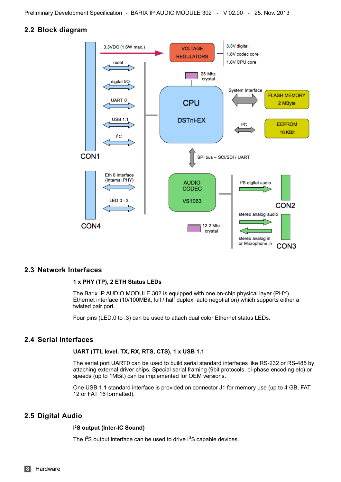Preliminary Development Specification - BARIX IP AUDIO MODULE 302 - V 02.00 - 25. Nov. 2013

#### <span id="page-6-3"></span>**2.2 Block diagram**



#### <span id="page-6-2"></span>**2.3 Network Interfaces**

#### **1 x PHY (TP), 2 ETH Status LEDs**

The Barix IP AUDIO MODULE 302 is equipped with one on-chip physical layer (PHY) Ethernet interface (10/100MBit, full / half duplex, auto negotiation) which supports either a twisted pair port.

Four pins (LED.0 to .3) can be used to attach dual color Ethernet status LEDs.

#### <span id="page-6-1"></span>**2.4 Serial Interfaces**

#### **UART (TTL level, TX, RX, RTS, CTS), 1 x USB 1.1**

The serial port UART0 can be used to build serial standard interfaces like RS-232 or RS-485 by attaching external driver chips. Special serial framing (9bit protocols, bi-phase encoding etc) or speeds (up to 1MBit) can be implemented for OEM versions.

One USB 1.1 standard interface is provided on connector J1 for memory use (up to 4 GB, FAT 12 or FAT 16 formatted).

#### <span id="page-6-0"></span>**2.5 Digital Audio**

#### **I <sup>2</sup>S output (Inter-IC Sound)**

The  $1^2$ S output interface can be used to drive  $1^2$ S capable devices.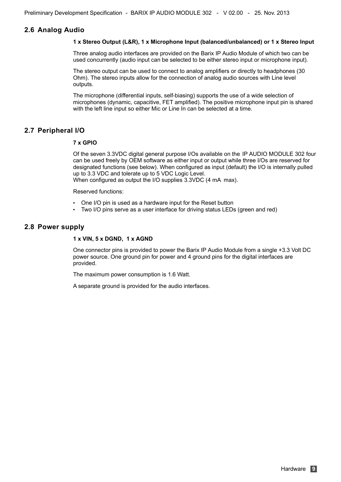#### <span id="page-7-2"></span>**2.6 Analog Audio**

#### **1 x Stereo Output (L&R), 1 x Microphone Input (balanced/unbalanced) or 1 x Stereo Input**

Three analog audio interfaces are provided on the Barix IP Audio Module of which two can be used concurrently (audio input can be selected to be either stereo input or microphone input).

The stereo output can be used to connect to analog amplifiers or directly to headphones (30 Ohm). The stereo inputs allow for the connection of analog audio sources with Line level outputs.

The microphone (differential inputs, self-biasing) supports the use of a wide selection of microphones (dynamic, capacitive, FET amplified). The positive microphone input pin is shared with the left line input so either Mic or Line In can be selected at a time.

#### <span id="page-7-1"></span>**2.7 Peripheral I/O**

#### **7 x GPIO**

Of the seven 3.3VDC digital general purpose I/Os available on the IP AUDIO MODULE 302 four can be used freely by OEM software as either input or output while three I/Os are reserved for designated functions (see below). When configured as input (default) the I/O is internally pulled up to 3.3 VDC and tolerate up to 5 VDC Logic Level.

When configured as output the I/O supplies 3.3VDC (4 mA max).

Reserved functions:

- One I/O pin is used as a hardware input for the Reset button
- Two I/O pins serve as a user interface for driving status LEDs (green and red)

#### <span id="page-7-0"></span>**2.8 Power supply**

#### **1 x VIN, 5 x DGND, 1 x AGND**

One connector pins is provided to power the Barix IP Audio Module from a single +3.3 Volt DC power source. One ground pin for power and 4 ground pins for the digital interfaces are provided.

The maximum power consumption is 1.6 Watt.

A separate ground is provided for the audio interfaces.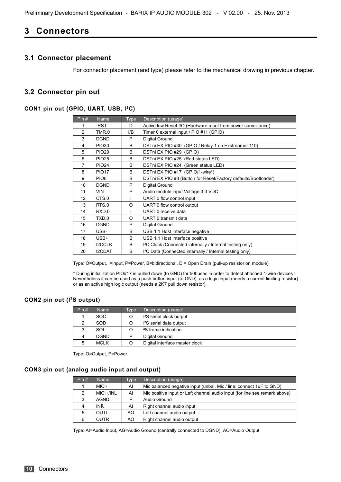Preliminary Development Specification - BARIX IP AUDIO MODULE 302 - V 02.00 - 25. Nov. 2013

## <span id="page-8-5"></span>**Connectors**

#### <span id="page-8-4"></span>**3.1 Connector placement**

For connector placement (and type) please refer to the mechanical drawing in previous chapter.

#### <span id="page-8-3"></span>**3.2 Connector pin out**

#### <span id="page-8-2"></span>**CON1 pin out (GPIO, UART, USB, I <sup>2</sup>C)**

| Pin#           | <b>Name</b>      | <b>Type</b>  | Description (usage)                                                   |
|----------------|------------------|--------------|-----------------------------------------------------------------------|
| 1              | -RST             | D            | Active low Reset I/O (Hardware reset from power surveillance)         |
| $\overline{2}$ | TMR.0            | I/B          | Timer 0 external input / PIO #11 (GPIO)                               |
| 3              | <b>DGND</b>      | P            | Digital Ground                                                        |
| 4              | <b>PIO30</b>     | <sub>R</sub> | DSTni EX PIO #30 (GPIO / Relay 1 on Exstreamer 110)                   |
| 5              | <b>PIO29</b>     | B            | DSTni EX PIO #29 (GPIO)                                               |
| 6              | <b>PIO25</b>     | B            | DSTni EX PIO #25 (Red status LED)                                     |
| $\overline{7}$ | <b>PIO24</b>     | B            | DSTni EX PIO #24 (Green status LED)                                   |
| 8              | <b>PIO17</b>     | <sub>R</sub> | DSTni EX PIO #17 (GPIO/1-wire*)                                       |
| 9              | PIO <sub>8</sub> | B            | DSTni EX PIO #8 (Button for Reset/Factory defaults/Bootloader)        |
| 10             | <b>DGND</b>      | P            | Digital Ground                                                        |
| 11             | <b>VIN</b>       | P            | Audio module input Voltage 3.3 VDC                                    |
| 12             | CTS.0            |              | UART 0 flow control input                                             |
| 13             | RTS.0            | O            | UART 0 flow control output                                            |
| 14             | RXD.0            |              | UART 0 receive data                                                   |
| 15             | TXD.0            | O            | UART 0 transmit data                                                  |
| 16             | <b>DGND</b>      | P            | Digital Ground                                                        |
| 17             | USB-             | B            | USB 1.1 Host Interface negative                                       |
| 18             | USB+             | B            | USB 1.1 Host Interface positive                                       |
| 19             | <b>I2CCLK</b>    | B            | I <sup>2</sup> C Clock (Connected internally / Internal testing only) |
| 20             | <b>I2CDAT</b>    | B            | I <sup>2</sup> C Data (Connected internally / Internal testing only)  |

Type: O=Output, I=Input, P=Power, B=bidirectional, D = Open Drain (pull-up resistor on module)

\* During initialization PIO#17 is pulled down (to GND) for 500usec in order to detect attached 1-wire devices ! Nevertheless it can be used as a push button input (to GND), as a logic input (needs a current limiting resistor) or as an active high logic output (needs a 2K7 pull down resistor).

#### <span id="page-8-1"></span>**CON2 pin out (I<sup>2</sup>S output)**

| Pin# | <b>Name</b> | <b>Type</b> | Description (usage)                  |
|------|-------------|-------------|--------------------------------------|
|      | <b>SOC</b>  |             | I <sup>2</sup> S serial clock output |
|      | SOD         |             | I <sup>2</sup> S serial data output  |
|      | SOI         |             | <sup>2</sup> S frame indication      |
|      | <b>DGND</b> | D           | Digital Ground                       |
|      | <b>MCLK</b> |             | Digital interface master clock       |

Type: O=Output, P=Power

#### <span id="page-8-0"></span>**CON3 pin out (analog audio input and output)**

| Pin#          | <b>Name</b> | Type | Description (usage)                                                        |
|---------------|-------------|------|----------------------------------------------------------------------------|
|               | MICI-       | AI   | Mic balanced negative input (unbal. Mic / line: connect 1uF to GND)        |
| $\mathcal{P}$ | MICI+/INL   | AI   | Mic positive input or Left channel audio input (for line see remark above) |
| 3             | AGND        | P    | Audio Ground                                                               |
| 4             | <b>INR</b>  | AI   | Right channel audio input                                                  |
| 5             | OUTL        | AO.  | Left channel audio output                                                  |
| 6             | <b>OUTR</b> | AO   | Right channel audio output                                                 |

Type: AI=Audio Input, AG=Audio Ground (centrally connected to DGND), AO=Audio Output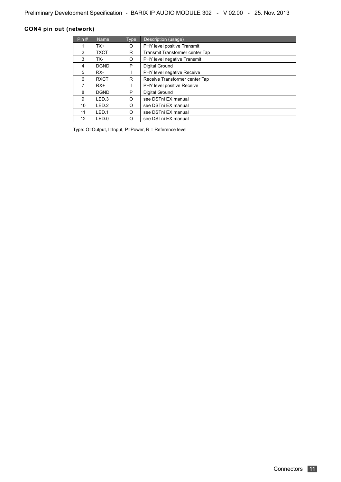#### <span id="page-9-0"></span>**CON4 pin out (network)**

| Pin# | Name.            | <b>Type</b> | Description (usage)               |
|------|------------------|-------------|-----------------------------------|
|      | TX+              | O           | PHY level positive Transmit       |
| 2    | <b>TXCT</b>      | R           | Transmit Transformer center Tap   |
| 3    | TX-              | O           | PHY level negative Transmit       |
| 4    | <b>DGND</b>      | P           | Digital Ground                    |
| 5    | RX-              |             | <b>PHY level negative Receive</b> |
| 6    | <b>RXCT</b>      | R           | Receive Transformer center Tap    |
| 7    | $RX+$            |             | PHY level positive Receive        |
| 8    | <b>DGND</b>      | P           | Digital Ground                    |
| 9    | LED <sub>3</sub> | $\Omega$    | see DSTni EX manual               |
| 10   | LED.2            | O           | see DSTni EX manual               |
| 11   | LED.1            | O           | see DSTni EX manual               |
| 12   | LED.0            | O           | see DSTni EX manual               |

Type: O=Output, I=Input, P=Power, R = Reference level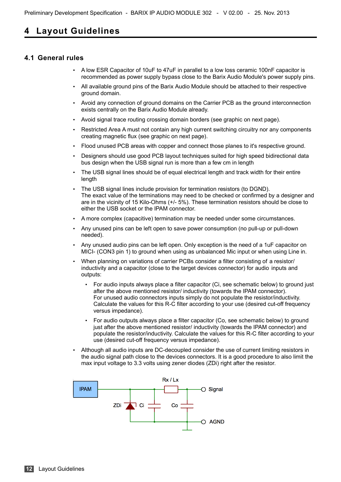## <span id="page-10-1"></span>**4 Layout Guidelines**

#### <span id="page-10-0"></span>**4.1 General rules**

- A low ESR Capacitor of 10uF to 47uF in parallel to a low loss ceramic 100nF capacitor is recommended as power supply bypass close to the Barix Audio Module's power supply pins.
- All available ground pins of the Barix Audio Module should be attached to their respective ground domain.
- Avoid any connection of ground domains on the Carrier PCB as the ground interconnection exists centrally on the Barix Audio Module already.
- Avoid signal trace routing crossing domain borders (see graphic on next page).
- Restricted Area A must not contain any high current switching circuitry nor any components creating magnetic flux (see graphic on next page).
- Flood unused PCB areas with copper and connect those planes to it's respective ground.
- Designers should use good PCB layout techniques suited for high speed bidirectional data bus design when the USB signal run is more than a few cm in length
- The USB signal lines should be of equal electrical length and track width for their entire length
- The USB signal lines include provision for termination resistors (to DGND). The exact value of the terminations may need to be checked or confirmed by a designer and are in the vicinity of 15 Kilo-Ohms (+/- 5%). These termination resistors should be close to either the USB socket or the IPAM connector.
- A more complex (capacitive) termination may be needed under some circumstances.
- Any unused pins can be left open to save power consumption (no pull-up or pull-down needed).
- Any unused audio pins can be left open. Only exception is the need of a 1uF capacitor on MICI- (CON3 pin 1) to ground when using as unbalanced Mic input or when using Line in.
- When planning on variations of carrier PCBs consider a filter consisting of a resistor/ inductivity and a capacitor (close to the target devices connector) for audio inputs and outputs:
	- For audio inputs always place a filter capacitor (Ci, see schematic below) to ground just after the above mentioned resistor/ inductivity (towards the IPAM connector). For unused audio connectors inputs simply do not populate the resistor/inductivity. Calculate the values for this R-C filter according to your use (desired cut-off frequency versus impedance).
	- For audio outputs always place a filter capacitor (Co, see schematic below) to ground just after the above mentioned resistor/ inductivity (towards the IPAM connector) and populate the resistor/inductivity. Calculate the values for this R-C filter according to your use (desired cut-off frequency versus impedance).
- Although all audio inputs are DC-decoupled consider the use of current limiting resistors in the audio signal path close to the devices connectors. It is a good procedure to also limit the max input voltage to 3.3 volts using zener diodes (ZDi) right after the resistor.

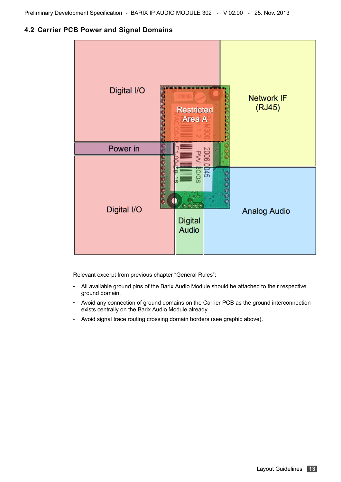<span id="page-11-0"></span>**4.2 Carrier PCB Power and Signal Domains**



Relevant excerpt from previous chapter "General Rules":

- All available ground pins of the Barix Audio Module should be attached to their respective ground domain.
- Avoid any connection of ground domains on the Carrier PCB as the ground interconnection exists centrally on the Barix Audio Module already.
- Avoid signal trace routing crossing domain borders (see graphic above).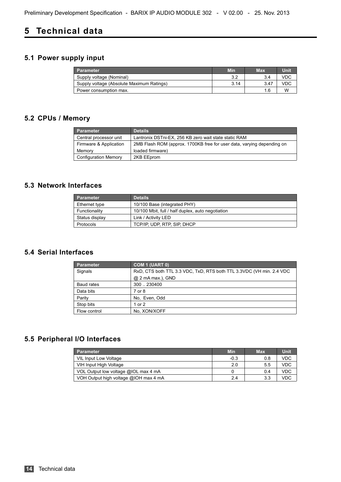## <span id="page-12-2"></span>**5 Technical data**

## <span id="page-12-1"></span>**5.1 Power supply input**

| <b>Parameter</b>                          | <b>Min</b> | <b>Max</b> | Unit |
|-------------------------------------------|------------|------------|------|
| Supply voltage (Nominal)                  | っっ         | 3.4        |      |
| Supply voltage (Absolute Maximum Ratings) | 3.14       | 3.47       |      |
| Power consumption max.                    |            |            | w    |

## <span id="page-12-0"></span>**5.2 CPUs / Memory**

| <b>Parameter</b>            | <b>Details</b>                                                         |
|-----------------------------|------------------------------------------------------------------------|
| Central processor unit      | Lantronix DSTni-EX, 256 KB zero wait state static RAM                  |
| Firmware & Application      | 2MB Flash ROM (approx. 1700KB free for user data, varying depending on |
| Memory                      | loaded firmware)                                                       |
| <b>Configuration Memory</b> | 2KB EEprom                                                             |

#### <span id="page-12-5"></span>**5.3 Network Interfaces**

| <b>Parameter</b> | <b>Details</b>                                    |
|------------------|---------------------------------------------------|
| Ethernet type    | 10/100 Base (integrated PHY)                      |
| Functionality    | 10/100 Mbit, full / half duplex, auto negotiation |
| Status display   | Link / Activity LED                               |
| Protocols        | TCP/IP, UDP, RTP, SIP, DHCP                       |

#### <span id="page-12-4"></span>**5.4 Serial Interfaces**

| <b>Parameter</b> | COM 1 (UART 0)                                                       |
|------------------|----------------------------------------------------------------------|
| Signals          | RxD, CTS both TTL 3.3 VDC, TxD, RTS both TTL 3.3VDC (VH min. 2.4 VDC |
|                  | @ 2 mA max.), GND                                                    |
| Baud rates       | 300  230400                                                          |
| Data bits        | 7 or 8                                                               |
| Parity           | No, Even, Odd                                                        |
| Stop bits        | 1 or 2                                                               |
| Flow control     | No, XON/XOFF                                                         |

## <span id="page-12-3"></span>**5.5 Peripheral I/O Interfaces**

| <b>Parameter</b>                      | <b>Min</b> | <b>Max</b> | Unit       |
|---------------------------------------|------------|------------|------------|
| <b>VIL Input Low Voltage</b>          | $-0.3$     | 0.8        | <b>VDC</b> |
| VIH Input High Voltage                | 2.0        | 5.5        | VDC        |
| VOL Output low voltage @IOL max 4 mA  |            | 0.4        | VDC        |
| VOH Output high voltage @IOH max 4 mA | 2.4        | 3.3        | VDC        |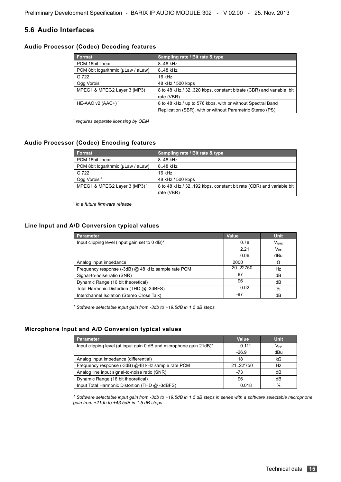#### <span id="page-13-4"></span>**5.6 Audio Interfaces**

#### <span id="page-13-3"></span>**Audio Processor (Codec) Decoding features**

| <b>Format</b>                      | Sampling rate / Bit rate & type                                    |
|------------------------------------|--------------------------------------------------------------------|
| PCM 16bit linear                   | 8.48 kHz                                                           |
| PCM 8bit logarithmic (uLaw / aLaw) | 8.48 kHz                                                           |
| G.722                              | 16 kHz                                                             |
| Ogg Vorbis                         | 48 kHz / 500 kbps                                                  |
| MPEG1 & MPEG2 Layer 3 (MP3)        | 8 to 48 kHz / 32.320 kbps, constant bitrate (CBR) and variable bit |
|                                    | rate (VBR)                                                         |
| HE-AAC $v2$ (AAC+) <sup>1</sup>    | 8 to 48 kHz / up to 576 kbps, with or without Spectral Band        |
|                                    | Replication (SBR), with or without Parametric Stereo (PS)          |

*1 requires separate licensing by OEM* 

#### <span id="page-13-2"></span>**Audio Processor (Codec) Encoding features**

| Format                                   | Sampling rate / Bit rate & type                                    |
|------------------------------------------|--------------------------------------------------------------------|
| PCM 16bit linear                         | 8.48 kHz                                                           |
| PCM 8bit logarithmic (uLaw / aLaw)       | 8.48 kHz                                                           |
| G.722                                    | 16 kHz                                                             |
| Ogg Vorbis <sup>1</sup>                  | 48 kHz / 500 kbps                                                  |
| MPEG1 & MPEG2 Layer 3 (MP3) <sup>1</sup> | 8 to 48 kHz / 32192 kbps, constant bit rate (CBR) and variable bit |
|                                          | rate (VBR)                                                         |

*1 in a future firmware release*

#### <span id="page-13-1"></span>**Line Input and A/D Conversion typical values**

| <b>Parameter</b>                                   | <b>Value</b> | <b>Unit</b>      |
|----------------------------------------------------|--------------|------------------|
| Input clipping level (input gain set to 0 dB)*     | 0.78         | V <sub>RMS</sub> |
|                                                    | 2.21         | $V_{PP}$         |
|                                                    | 0.06         | dBu              |
| Analog input impedance                             | 2000         | Ω                |
| Frequency response (-3dB) @ 48 kHz sample rate PCM | 20.22750     | Hz               |
| Signal-to-noise ratio (SNR)                        | 87           | dB               |
| Dynamic Range (16 bit theoretical)                 | 96           | dB               |
| Total Harmonic Distortion (THD @ -3dBFS)           | 0.02         | %                |
| Interchannel Isolation (Stereo Cross Talk)         | -87          | dB               |

*\* Software selectable input gain from -3db to +19.5dB in 1.5 dB steps*

#### <span id="page-13-0"></span>**Microphone Input and A/D Conversion typical values**

| <b>Parameter</b>                                                    | Value    | <b>Unit</b>     |
|---------------------------------------------------------------------|----------|-----------------|
| Input clipping level (at input gain 0 dB and microphone gain 21dB)* | 0.111    | $V_{\text{PP}}$ |
|                                                                     | $-26.9$  | dBu             |
| Analog input impedance (differential)                               | 18       | kΩ              |
| Frequency response (-3dB) @48 kHz sample rate PCM                   | 21.22750 | Hz              |
| Analog line input signal-to-noise ratio (SNR)                       | -73      | dB              |
| Dynamic Range (16 bit theoretical)                                  | 96       | dВ              |
| Input Total Harmonic Distortion (THD @ -3dBFS)                      | 0.018    | %               |

*\* Software selectable input gain from -3db to +19.5dB in 1.5 dB steps in series with a software selectable microphone gain from +21db to +43.5dB in 1.5 dB steps*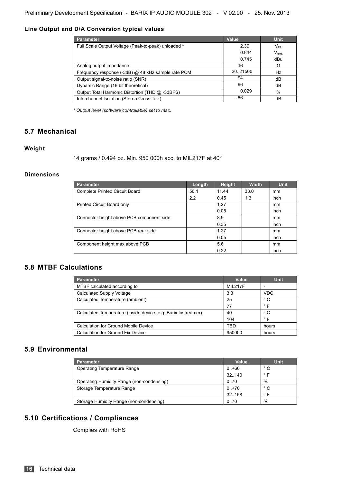#### <span id="page-14-6"></span>**Line Output and D/A Conversion typical values**

| <b>Parameter</b>                                    | <b>Value</b> | <b>Unit</b>      |
|-----------------------------------------------------|--------------|------------------|
| Full Scale Output Voltage (Peak-to-peak) unloaded * | 2.39         | $V_{\text{PP}}$  |
|                                                     | 0.844        | V <sub>RMS</sub> |
|                                                     | 0.745        | dBu              |
| Analog output impedance                             | 16           | Ω                |
| Frequency response (-3dB) @ 48 kHz sample rate PCM  | 20.21500     | Hz               |
| Output signal-to-noise ratio (SNR)                  | 94           | dB               |
| Dynamic Range (16 bit theoretical)                  | 96           | dB               |
| Output Total Harmonic Distortion (THD @ -3dBFS)     | 0.029        | %                |
| Interchannel Isolation (Stereo Cross Talk)          | -66          | dB               |

*\* Output level (software controllable) set to max.*

#### <span id="page-14-5"></span>**5.7 Mechanical**

#### <span id="page-14-4"></span>**Weight**

14 grams / 0.494 oz. Min. 950 000h acc. to MIL217F at 40°

#### <span id="page-14-3"></span>**Dimensions**

| <b>Parameter</b>                          | Length | <b>Height</b> | <b>Width</b> | <b>Unit</b> |
|-------------------------------------------|--------|---------------|--------------|-------------|
| <b>Complete Printed Circuit Board</b>     | 56.1   | 11.44         | 33.0         | mm          |
|                                           | 2.2    | 0.45          | 1.3          | inch        |
| Printed Circuit Board only                |        | 1.27          |              | mm          |
|                                           |        | 0.05          |              | inch        |
| Connector height above PCB component side |        | 8.9           |              | mm          |
|                                           |        | 0.35          |              | inch        |
| Connector height above PCB rear side      |        | 1.27          |              | mm          |
|                                           |        | 0.05          |              | inch        |
| Component height max above PCB            |        | 5.6           |              | mm          |
|                                           |        | 0.22          |              | inch        |

#### <span id="page-14-2"></span>**5.8 MTBF Calculations**

| Parameter                                                     | Value   | <b>Unit</b>  |
|---------------------------------------------------------------|---------|--------------|
| MTBF calculated according to                                  | MIL217F |              |
| <b>Calculated Supply Voltage</b>                              | 3.3     | <b>VDC</b>   |
| Calculated Temperature (ambient)                              | 25      | $^{\circ}$ C |
|                                                               | 77      | $\circ$ F    |
| Calculated Temperature (inside device, e.g. Barix Instreamer) | 40      | ಿ ೧          |
|                                                               | 104     | $^{\circ}$ F |
| Calculation for Ground Mobile Device                          | TRD     | hours        |
| Calculation for Ground Fix Device                             | 950000  | hours        |

#### <span id="page-14-1"></span>**5.9 Environmental**

| <b>Parameter</b>                          | Value     | <b>Unit</b>  |
|-------------------------------------------|-----------|--------------|
| <b>Operating Temperature Range</b>        | $0. + 60$ | $^{\circ}$ C |
|                                           | 32.140    | $^{\circ}$ F |
| Operating Humidity Range (non-condensing) | 0.70      | %            |
| Storage Temperature Range                 | $0. + 70$ | $^{\circ}$ C |
|                                           | 32.158    | $^{\circ}$ F |
| Storage Humidity Range (non-condensing)   | 0.70      | %            |

## <span id="page-14-0"></span>**5.10 Certifications / Compliances**

Complies with RoHS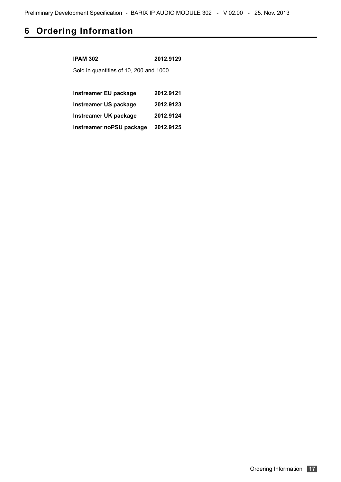## <span id="page-15-0"></span>**6 Ordering Information**

| <b>IPAM 302</b>                         | 2012.9129 |  |  |
|-----------------------------------------|-----------|--|--|
| Sold in quantities of 10, 200 and 1000. |           |  |  |
|                                         |           |  |  |
| Instreamer EU package                   | 2012.9121 |  |  |
| <b>Instreamer US package</b>            | 2012.9123 |  |  |
| Instreamer UK package                   | 2012.9124 |  |  |
| Instreamer noPSU package                | 2012.9125 |  |  |